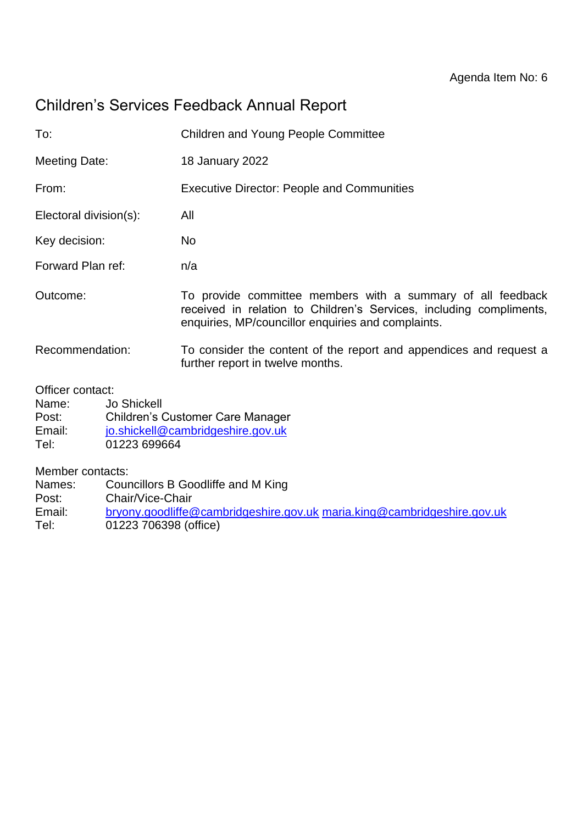# Children's Services Feedback Annual Report

| To:                    | <b>Children and Young People Committee</b>                                                                                                                                               |
|------------------------|------------------------------------------------------------------------------------------------------------------------------------------------------------------------------------------|
| Meeting Date:          | <b>18 January 2022</b>                                                                                                                                                                   |
| From:                  | <b>Executive Director: People and Communities</b>                                                                                                                                        |
| Electoral division(s): | All                                                                                                                                                                                      |
| Key decision:          | No.                                                                                                                                                                                      |
| Forward Plan ref:      | n/a                                                                                                                                                                                      |
| Outcome:               | To provide committee members with a summary of all feedback<br>received in relation to Children's Services, including compliments,<br>enquiries, MP/councillor enquiries and complaints. |
| Recommendation:        | To consider the content of the report and appendices and request a<br>further report in twelve months.                                                                                   |
|                        |                                                                                                                                                                                          |

Officer contact:

| Name:  | <b>Jo Shickell</b>                      |
|--------|-----------------------------------------|
| Post:  | <b>Children's Customer Care Manager</b> |
| Email: | jo.shickell@cambridgeshire.gov.uk       |
| Tel:   | 01223 699664                            |

Member contacts:

Names: Councillors B Goodliffe and M King

Post: Chair/Vice-Chair

Email: [bryony.goodliffe@cambridgeshire.gov.uk](mailto:bryony.goodliffe@cambridgeshire.gov.uk) [maria.king@cambridgeshire.gov.uk](mailto:maria.king@cambridgeshire.gov.uk)<br>Tel: 01223 706398 (office) 01223 706398 (office)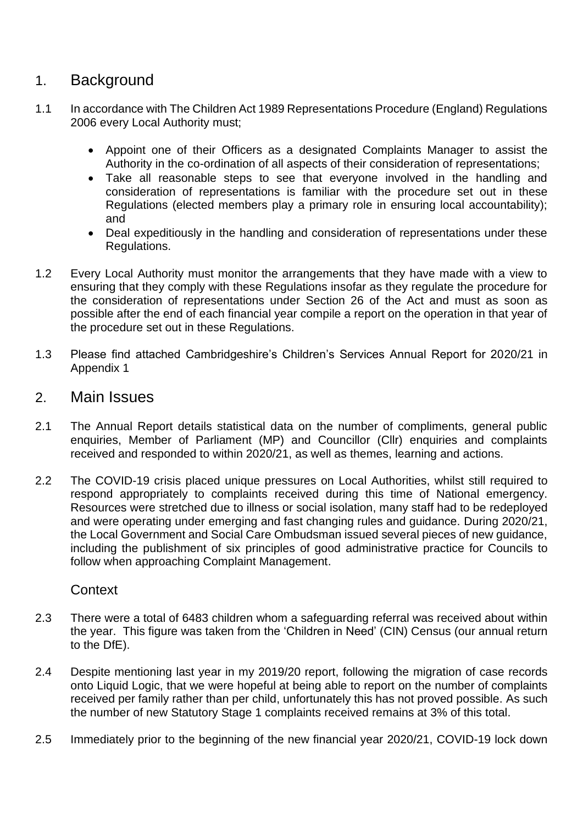### 1. Background

- 1.1 In accordance with The Children Act 1989 Representations Procedure (England) Regulations 2006 every Local Authority must;
	- Appoint one of their Officers as a designated Complaints Manager to assist the Authority in the co-ordination of all aspects of their consideration of representations;
	- Take all reasonable steps to see that everyone involved in the handling and consideration of representations is familiar with the procedure set out in these Regulations (elected members play a primary role in ensuring local accountability); and
	- Deal expeditiously in the handling and consideration of representations under these Regulations.
- 1.2 Every Local Authority must monitor the arrangements that they have made with a view to ensuring that they comply with these Regulations insofar as they regulate the procedure for the consideration of representations under Section 26 of the Act and must as soon as possible after the end of each financial year compile a report on the operation in that year of the procedure set out in these Regulations.
- 1.3 Please find attached Cambridgeshire's Children's Services Annual Report for 2020/21 in Appendix 1

### 2. Main Issues

- 2.1 The Annual Report details statistical data on the number of compliments, general public enquiries, Member of Parliament (MP) and Councillor (Cllr) enquiries and complaints received and responded to within 2020/21, as well as themes, learning and actions.
- 2.2 The COVID-19 crisis placed unique pressures on Local Authorities, whilst still required to respond appropriately to complaints received during this time of National emergency. Resources were stretched due to illness or social isolation, many staff had to be redeployed and were operating under emerging and fast changing rules and guidance. During 2020/21, the Local Government and Social Care Ombudsman issued several pieces of new guidance, including the publishment of six principles of good administrative practice for Councils to follow when approaching Complaint Management.

### **Context**

- 2.3 There were a total of 6483 children whom a safeguarding referral was received about within the year. This figure was taken from the 'Children in Need' (CIN) Census (our annual return to the DfE).
- 2.4 Despite mentioning last year in my 2019/20 report, following the migration of case records onto Liquid Logic, that we were hopeful at being able to report on the number of complaints received per family rather than per child, unfortunately this has not proved possible. As such the number of new Statutory Stage 1 complaints received remains at 3% of this total.
- 2.5 Immediately prior to the beginning of the new financial year 2020/21, COVID-19 lock down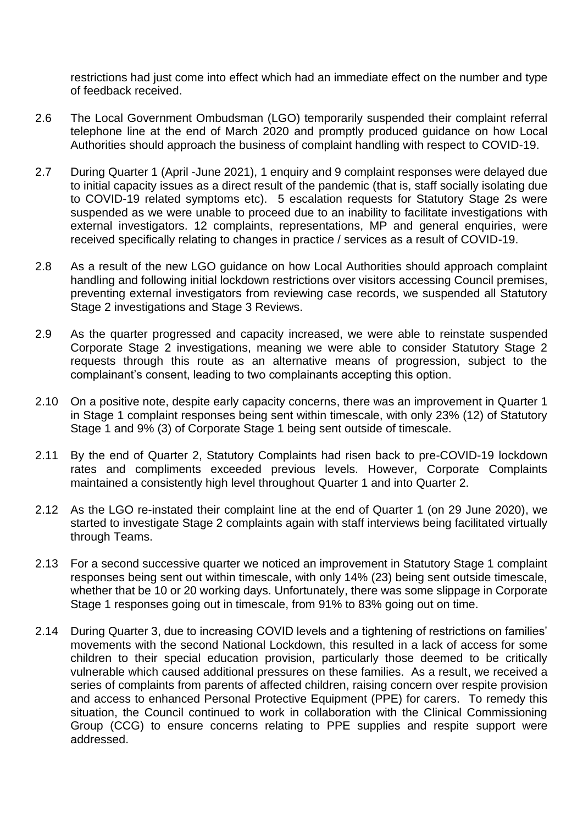restrictions had just come into effect which had an immediate effect on the number and type of feedback received.

- 2.6 The Local Government Ombudsman (LGO) temporarily suspended their complaint referral telephone line at the end of March 2020 and promptly produced guidance on how Local Authorities should approach the business of complaint handling with respect to COVID-19.
- 2.7 During Quarter 1 (April -June 2021), 1 enquiry and 9 complaint responses were delayed due to initial capacity issues as a direct result of the pandemic (that is, staff socially isolating due to COVID-19 related symptoms etc). 5 escalation requests for Statutory Stage 2s were suspended as we were unable to proceed due to an inability to facilitate investigations with external investigators. 12 complaints, representations, MP and general enquiries, were received specifically relating to changes in practice / services as a result of COVID-19.
- 2.8 As a result of the new LGO guidance on how Local Authorities should approach complaint handling and following initial lockdown restrictions over visitors accessing Council premises, preventing external investigators from reviewing case records, we suspended all Statutory Stage 2 investigations and Stage 3 Reviews.
- 2.9 As the quarter progressed and capacity increased, we were able to reinstate suspended Corporate Stage 2 investigations, meaning we were able to consider Statutory Stage 2 requests through this route as an alternative means of progression, subject to the complainant's consent, leading to two complainants accepting this option.
- 2.10 On a positive note, despite early capacity concerns, there was an improvement in Quarter 1 in Stage 1 complaint responses being sent within timescale, with only 23% (12) of Statutory Stage 1 and 9% (3) of Corporate Stage 1 being sent outside of timescale.
- 2.11 By the end of Quarter 2, Statutory Complaints had risen back to pre-COVID-19 lockdown rates and compliments exceeded previous levels. However, Corporate Complaints maintained a consistently high level throughout Quarter 1 and into Quarter 2.
- 2.12 As the LGO re-instated their complaint line at the end of Quarter 1 (on 29 June 2020), we started to investigate Stage 2 complaints again with staff interviews being facilitated virtually through Teams.
- 2.13 For a second successive quarter we noticed an improvement in Statutory Stage 1 complaint responses being sent out within timescale, with only 14% (23) being sent outside timescale, whether that be 10 or 20 working days. Unfortunately, there was some slippage in Corporate Stage 1 responses going out in timescale, from 91% to 83% going out on time.
- 2.14 During Quarter 3, due to increasing COVID levels and a tightening of restrictions on families' movements with the second National Lockdown, this resulted in a lack of access for some children to their special education provision, particularly those deemed to be critically vulnerable which caused additional pressures on these families. As a result, we received a series of complaints from parents of affected children, raising concern over respite provision and access to enhanced Personal Protective Equipment (PPE) for carers. To remedy this situation, the Council continued to work in collaboration with the Clinical Commissioning Group (CCG) to ensure concerns relating to PPE supplies and respite support were addressed.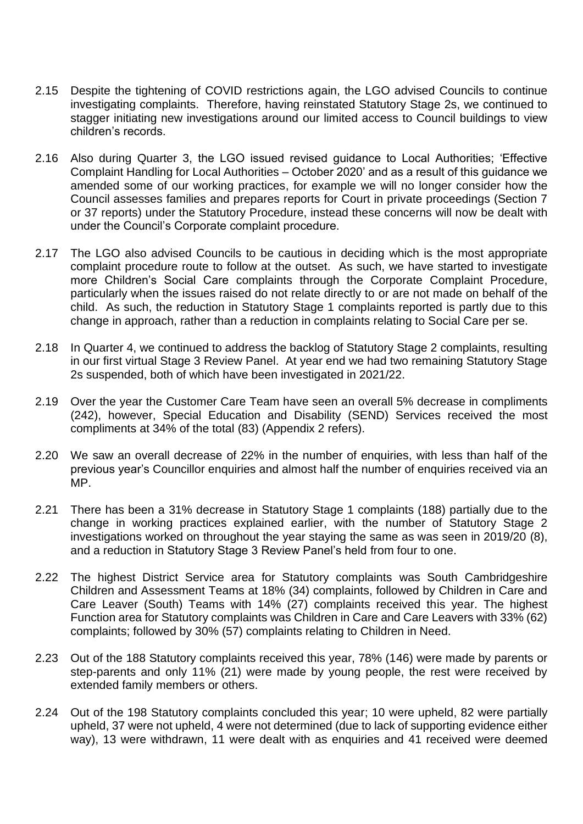- 2.15 Despite the tightening of COVID restrictions again, the LGO advised Councils to continue investigating complaints. Therefore, having reinstated Statutory Stage 2s, we continued to stagger initiating new investigations around our limited access to Council buildings to view children's records.
- 2.16 Also during Quarter 3, the LGO issued revised guidance to Local Authorities; 'Effective Complaint Handling for Local Authorities – October 2020' and as a result of this guidance we amended some of our working practices, for example we will no longer consider how the Council assesses families and prepares reports for Court in private proceedings (Section 7 or 37 reports) under the Statutory Procedure, instead these concerns will now be dealt with under the Council's Corporate complaint procedure.
- 2.17 The LGO also advised Councils to be cautious in deciding which is the most appropriate complaint procedure route to follow at the outset. As such, we have started to investigate more Children's Social Care complaints through the Corporate Complaint Procedure, particularly when the issues raised do not relate directly to or are not made on behalf of the child. As such, the reduction in Statutory Stage 1 complaints reported is partly due to this change in approach, rather than a reduction in complaints relating to Social Care per se.
- 2.18 In Quarter 4, we continued to address the backlog of Statutory Stage 2 complaints, resulting in our first virtual Stage 3 Review Panel. At year end we had two remaining Statutory Stage 2s suspended, both of which have been investigated in 2021/22.
- 2.19 Over the year the Customer Care Team have seen an overall 5% decrease in compliments (242), however, Special Education and Disability (SEND) Services received the most compliments at 34% of the total (83) (Appendix 2 refers).
- 2.20 We saw an overall decrease of 22% in the number of enquiries, with less than half of the previous year's Councillor enquiries and almost half the number of enquiries received via an MP.
- 2.21 There has been a 31% decrease in Statutory Stage 1 complaints (188) partially due to the change in working practices explained earlier, with the number of Statutory Stage 2 investigations worked on throughout the year staying the same as was seen in 2019/20 (8), and a reduction in Statutory Stage 3 Review Panel's held from four to one.
- 2.22 The highest District Service area for Statutory complaints was South Cambridgeshire Children and Assessment Teams at 18% (34) complaints, followed by Children in Care and Care Leaver (South) Teams with 14% (27) complaints received this year. The highest Function area for Statutory complaints was Children in Care and Care Leavers with 33% (62) complaints; followed by 30% (57) complaints relating to Children in Need.
- 2.23 Out of the 188 Statutory complaints received this year, 78% (146) were made by parents or step-parents and only 11% (21) were made by young people, the rest were received by extended family members or others.
- 2.24 Out of the 198 Statutory complaints concluded this year; 10 were upheld, 82 were partially upheld, 37 were not upheld, 4 were not determined (due to lack of supporting evidence either way), 13 were withdrawn, 11 were dealt with as enquiries and 41 received were deemed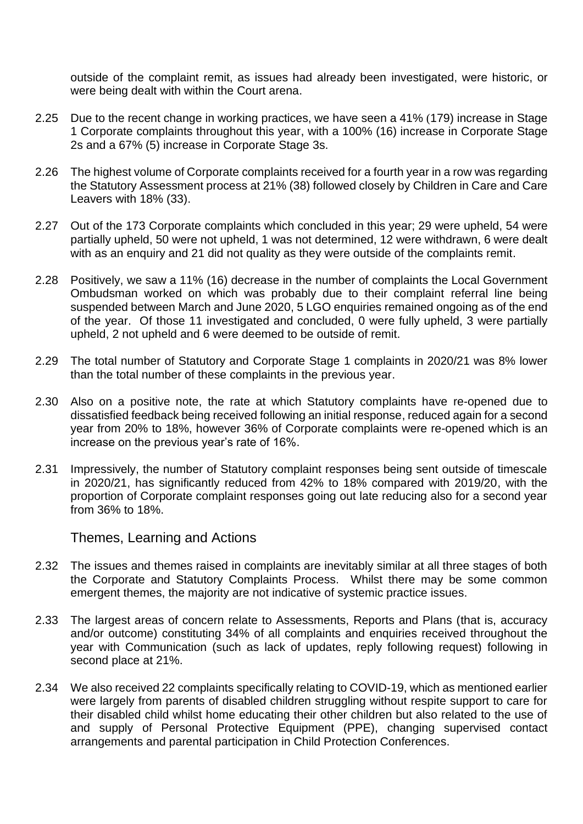outside of the complaint remit, as issues had already been investigated, were historic, or were being dealt with within the Court arena.

- 2.25 Due to the recent change in working practices, we have seen a 41% (179) increase in Stage 1 Corporate complaints throughout this year, with a 100% (16) increase in Corporate Stage 2s and a 67% (5) increase in Corporate Stage 3s.
- 2.26 The highest volume of Corporate complaints received for a fourth year in a row was regarding the Statutory Assessment process at 21% (38) followed closely by Children in Care and Care Leavers with 18% (33).
- 2.27 Out of the 173 Corporate complaints which concluded in this year; 29 were upheld, 54 were partially upheld, 50 were not upheld, 1 was not determined, 12 were withdrawn, 6 were dealt with as an enquiry and 21 did not quality as they were outside of the complaints remit.
- 2.28 Positively, we saw a 11% (16) decrease in the number of complaints the Local Government Ombudsman worked on which was probably due to their complaint referral line being suspended between March and June 2020, 5 LGO enquiries remained ongoing as of the end of the year. Of those 11 investigated and concluded, 0 were fully upheld, 3 were partially upheld, 2 not upheld and 6 were deemed to be outside of remit.
- 2.29 The total number of Statutory and Corporate Stage 1 complaints in 2020/21 was 8% lower than the total number of these complaints in the previous year.
- 2.30 Also on a positive note, the rate at which Statutory complaints have re-opened due to dissatisfied feedback being received following an initial response, reduced again for a second year from 20% to 18%, however 36% of Corporate complaints were re-opened which is an increase on the previous year's rate of 16%.
- 2.31 Impressively, the number of Statutory complaint responses being sent outside of timescale in 2020/21, has significantly reduced from 42% to 18% compared with 2019/20, with the proportion of Corporate complaint responses going out late reducing also for a second year from 36% to 18%.

Themes, Learning and Actions

- 2.32 The issues and themes raised in complaints are inevitably similar at all three stages of both the Corporate and Statutory Complaints Process. Whilst there may be some common emergent themes, the majority are not indicative of systemic practice issues.
- 2.33 The largest areas of concern relate to Assessments, Reports and Plans (that is, accuracy and/or outcome) constituting 34% of all complaints and enquiries received throughout the year with Communication (such as lack of updates, reply following request) following in second place at 21%.
- 2.34 We also received 22 complaints specifically relating to COVID-19, which as mentioned earlier were largely from parents of disabled children struggling without respite support to care for their disabled child whilst home educating their other children but also related to the use of and supply of Personal Protective Equipment (PPE), changing supervised contact arrangements and parental participation in Child Protection Conferences.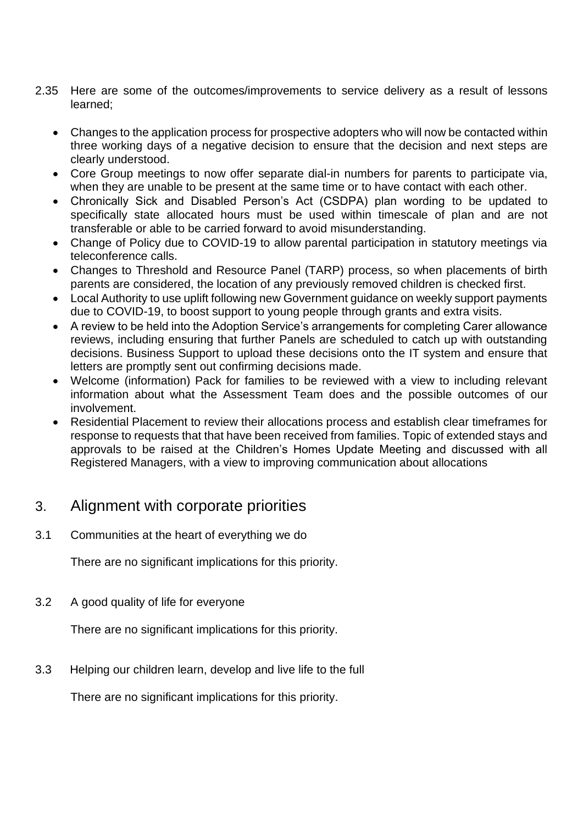- 2.35 Here are some of the outcomes/improvements to service delivery as a result of lessons learned;
	- Changes to the application process for prospective adopters who will now be contacted within three working days of a negative decision to ensure that the decision and next steps are clearly understood.
	- Core Group meetings to now offer separate dial-in numbers for parents to participate via, when they are unable to be present at the same time or to have contact with each other.
	- Chronically Sick and Disabled Person's Act (CSDPA) plan wording to be updated to specifically state allocated hours must be used within timescale of plan and are not transferable or able to be carried forward to avoid misunderstanding.
	- Change of Policy due to COVID-19 to allow parental participation in statutory meetings via teleconference calls.
	- Changes to Threshold and Resource Panel (TARP) process, so when placements of birth parents are considered, the location of any previously removed children is checked first.
	- Local Authority to use uplift following new Government guidance on weekly support payments due to COVID-19, to boost support to young people through grants and extra visits.
	- A review to be held into the Adoption Service's arrangements for completing Carer allowance reviews, including ensuring that further Panels are scheduled to catch up with outstanding decisions. Business Support to upload these decisions onto the IT system and ensure that letters are promptly sent out confirming decisions made.
	- Welcome (information) Pack for families to be reviewed with a view to including relevant information about what the Assessment Team does and the possible outcomes of our involvement.
	- Residential Placement to review their allocations process and establish clear timeframes for response to requests that that have been received from families. Topic of extended stays and approvals to be raised at the Children's Homes Update Meeting and discussed with all Registered Managers, with a view to improving communication about allocations

### 3. Alignment with corporate priorities

3.1 Communities at the heart of everything we do

There are no significant implications for this priority.

3.2 A good quality of life for everyone

There are no significant implications for this priority.

3.3 Helping our children learn, develop and live life to the full

There are no significant implications for this priority.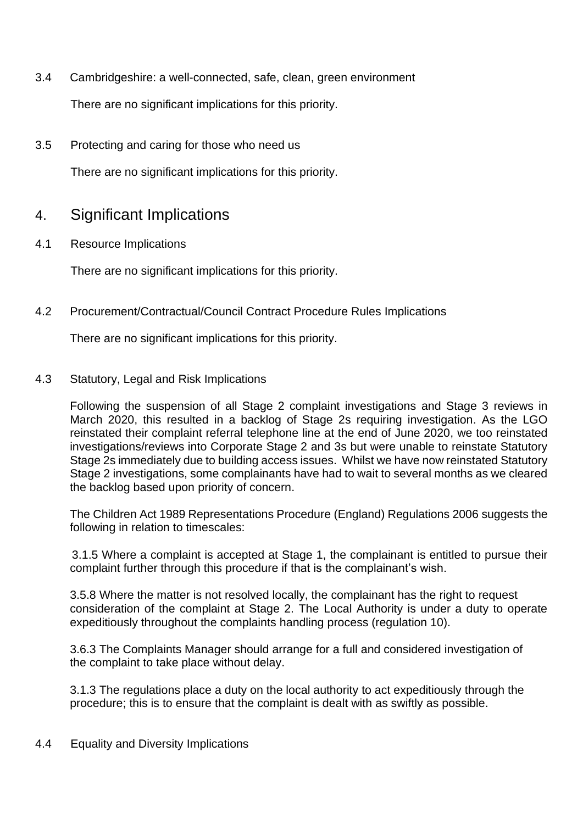3.4 Cambridgeshire: a well-connected, safe, clean, green environment

There are no significant implications for this priority.

3.5 Protecting and caring for those who need us

There are no significant implications for this priority.

## 4. Significant Implications

4.1 Resource Implications

There are no significant implications for this priority.

4.2 Procurement/Contractual/Council Contract Procedure Rules Implications

There are no significant implications for this priority.

#### 4.3 Statutory, Legal and Risk Implications

Following the suspension of all Stage 2 complaint investigations and Stage 3 reviews in March 2020, this resulted in a backlog of Stage 2s requiring investigation. As the LGO reinstated their complaint referral telephone line at the end of June 2020, we too reinstated investigations/reviews into Corporate Stage 2 and 3s but were unable to reinstate Statutory Stage 2s immediately due to building access issues. Whilst we have now reinstated Statutory Stage 2 investigations, some complainants have had to wait to several months as we cleared the backlog based upon priority of concern.

The Children Act 1989 Representations Procedure (England) Regulations 2006 suggests the following in relation to timescales:

3.1.5 Where a complaint is accepted at Stage 1, the complainant is entitled to pursue their complaint further through this procedure if that is the complainant's wish.

3.5.8 Where the matter is not resolved locally, the complainant has the right to request consideration of the complaint at Stage 2. The Local Authority is under a duty to operate expeditiously throughout the complaints handling process (regulation 10).

3.6.3 The Complaints Manager should arrange for a full and considered investigation of the complaint to take place without delay.

3.1.3 The regulations place a duty on the local authority to act expeditiously through the procedure; this is to ensure that the complaint is dealt with as swiftly as possible.

#### 4.4 Equality and Diversity Implications